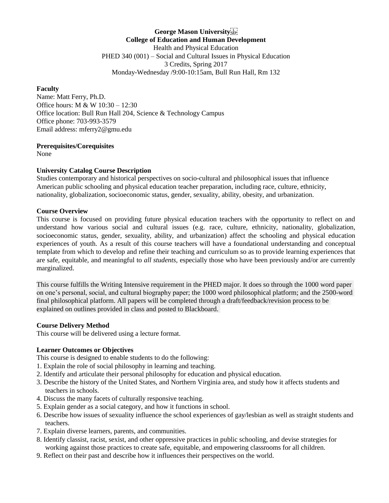**George Mason University College of Education and Human Development** Health and Physical Education PHED 340 (001) – Social and Cultural Issues in Physical Education 3 Credits, Spring 2017 Monday-Wednesday /9:00-10:15am, Bull Run Hall, Rm 132

#### **Faculty**

Name: Matt Ferry, Ph.D. Office hours: M & W 10:30 – 12:30 Office location: Bull Run Hall 204, Science & Technology Campus Office phone: 703-993-3579 Email address: mferry2@gmu.edu

#### **Prerequisites/Corequisites**

None

#### **University Catalog Course Description**

Studies contemporary and historical perspectives on socio-cultural and philosophical issues that influence American public schooling and physical education teacher preparation, including race, culture, ethnicity, nationality, globalization, socioeconomic status, gender, sexuality, ability, obesity, and urbanization.

#### **Course Overview**

This course is focused on providing future physical education teachers with the opportunity to reflect on and understand how various social and cultural issues (e.g. race, culture, ethnicity, nationality, globalization, socioeconomic status, gender, sexuality, ability, and urbanization) affect the schooling and physical education experiences of youth. As a result of this course teachers will have a foundational understanding and conceptual template from which to develop and refine their teaching and curriculum so as to provide learning experiences that are safe, equitable, and meaningful to *all students,* especially those who have been previously and/or are currently marginalized.

This course fulfills the Writing Intensive requirement in the PHED major. It does so through the 1000 word paper on one's personal, social, and cultural biography paper; the 1000 word philosophical platform; and the 2500-word final philosophical platform. All papers will be completed through a draft/feedback/revision process to be explained on outlines provided in class and posted to Blackboard.

#### **Course Delivery Method**

This course will be delivered using a lecture format.

#### **Learner Outcomes or Objectives**

This course is designed to enable students to do the following:

- 1. Explain the role of social philosophy in learning and teaching.
- 2. Identify and articulate their personal philosophy for education and physical education.
- 3. Describe the history of the United States, and Northern Virginia area, and study how it affects students and teachers in schools.
- 4. Discuss the many facets of culturally responsive teaching.
- 5. Explain gender as a social category, and how it functions in school.
- 6. Describe how issues of sexuality influence the school experiences of gay/lesbian as well as straight students and teachers.
- 7. Explain diverse learners, parents, and communities.
- 8. Identify classist, racist, sexist, and other oppressive practices in public schooling, and devise strategies for working against those practices to create safe, equitable, and empowering classrooms for all children.
- 9. Reflect on their past and describe how it influences their perspectives on the world.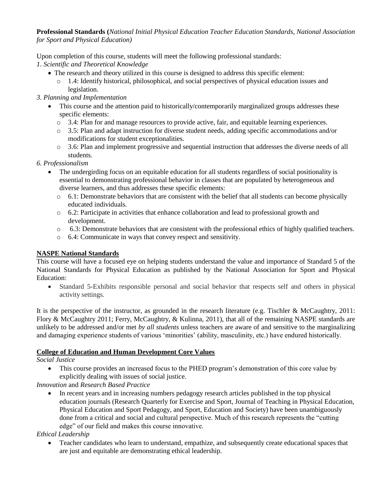**Professional Standards (***National Initial Physical Education Teacher Education Standards, National Association for Sport and Physical Education)* 

Upon completion of this course, students will meet the following professional standards:

*1. Scientific and Theoretical Knowledge*

- The research and theory utilized in this course is designed to address this specific element:
	- o 1.4: Identify historical, philosophical, and social perspectives of physical education issues and legislation.

# *3. Planning and Implementation*

- This course and the attention paid to historically/contemporarily marginalized groups addresses these specific elements:
	- o 3.4: Plan for and manage resources to provide active, fair, and equitable learning experiences.
	- o 3.5: Plan and adapt instruction for diverse student needs, adding specific accommodations and/or modifications for student exceptionalities.
	- o 3.6: Plan and implement progressive and sequential instruction that addresses the diverse needs of all students.

## *6. Professionalism*

- The undergirding focus on an equitable education for all students regardless of social positionality is essential to demonstrating professional behavior in classes that are populated by heterogeneous and diverse learners, and thus addresses these specific elements:
	- o 6.1: Demonstrate behaviors that are consistent with the belief that all students can become physically educated individuals.
	- $\circ$  6.2: Participate in activities that enhance collaboration and lead to professional growth and development.
	- $\circ$  6.3: Demonstrate behaviors that are consistent with the professional ethics of highly qualified teachers.
	- o 6.4: Communicate in ways that convey respect and sensitivity.

# **NASPE National Standards**

This course will have a focused eye on helping students understand the value and importance of Standard 5 of the National Standards for Physical Education as published by the National Association for Sport and Physical Education:

 Standard 5-Exhibits responsible personal and social behavior that respects self and others in physical activity settings.

It is the perspective of the instructor, as grounded in the research literature (e.g. Tischler & McCaughtry, 2011: Flory & McCaughtry 2011; Ferry, McCaughtry, & Kulinna, 2011), that all of the remaining NASPE standards are unlikely to be addressed and/or met *by all students* unless teachers are aware of and sensitive to the marginalizing and damaging experience students of various 'minorities' (ability, masculinity, etc.) have endured historically.

## **College of Education and Human Development Core Values**

*Social Justice*

 This course provides an increased focus to the PHED program's demonstration of this core value by explicitly dealing with issues of social justice.

# *Innovation* and *Research Based Practice*

• In recent years and in increasing numbers pedagogy research articles published in the top physical education journals (Research Quarterly for Exercise and Sport, Journal of Teaching in Physical Education, Physical Education and Sport Pedagogy, and Sport, Education and Society) have been unambiguously done from a critical and social and cultural perspective. Much of this research represents the "cutting edge" of our field and makes this course innovative.

*Ethical Leadership*

 Teacher candidates who learn to understand, empathize, and subsequently create educational spaces that are just and equitable are demonstrating ethical leadership.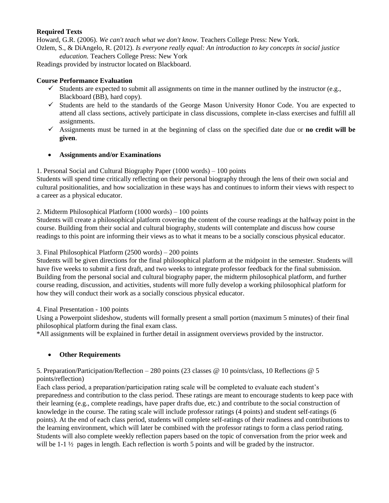### **Required Texts**

Howard, G.R. (2006). *We can't teach what we don't know.* Teachers College Press: New York. Ozlem, S., & DiAngelo, R. (2012). *Is everyone really equal: An introduction to key concepts in social justice* 

*education.* Teachers College Press: New York Readings provided by instructor located on Blackboard.

## **Course Performance Evaluation**

- $\checkmark$  Students are expected to submit all assignments on time in the manner outlined by the instructor (e.g., Blackboard (BB), hard copy).
- $\checkmark$  Students are held to the standards of the George Mason University Honor Code. You are expected to attend all class sections, actively participate in class discussions, complete in-class exercises and fulfill all assignments.
- $\checkmark$  Assignments must be turned in at the beginning of class on the specified date due or **no credit will be given**.

### **Assignments and/or Examinations**

### 1. Personal Social and Cultural Biography Paper (1000 words) – 100 points

Students will spend time critically reflecting on their personal biography through the lens of their own social and cultural positionalities, and how socialization in these ways has and continues to inform their views with respect to a career as a physical educator.

#### 2. Midterm Philosophical Platform (1000 words) – 100 points

Students will create a philosophical platform covering the content of the course readings at the halfway point in the course. Building from their social and cultural biography, students will contemplate and discuss how course readings to this point are informing their views as to what it means to be a socially conscious physical educator.

#### 3. Final Philosophical Platform (2500 words) – 200 points

Students will be given directions for the final philosophical platform at the midpoint in the semester. Students will have five weeks to submit a first draft, and two weeks to integrate professor feedback for the final submission. Building from the personal social and cultural biography paper, the midterm philosophical platform, and further course reading, discussion, and activities, students will more fully develop a working philosophical platform for how they will conduct their work as a socially conscious physical educator.

#### 4. Final Presentation - 100 points

Using a Powerpoint slideshow, students will formally present a small portion (maximum 5 minutes) of their final philosophical platform during the final exam class.

\*All assignments will be explained in further detail in assignment overviews provided by the instructor.

## **Other Requirements**

### 5. Preparation/Participation/Reflection – 280 points (23 classes @ 10 points/class, 10 Reflections @ 5 points/reflection)

Each class period, a preparation/participation rating scale will be completed to evaluate each student's preparedness and contribution to the class period. These ratings are meant to encourage students to keep pace with their learning (e.g., complete readings, have paper drafts due, etc.) and contribute to the social construction of knowledge in the course. The rating scale will include professor ratings (4 points) and student self-ratings (6 points). At the end of each class period, students will complete self-ratings of their readiness and contributions to the learning environment, which will later be combined with the professor ratings to form a class period rating. Students will also complete weekly reflection papers based on the topic of conversation from the prior week and will be 1-1  $\frac{1}{2}$  pages in length. Each reflection is worth 5 points and will be graded by the instructor.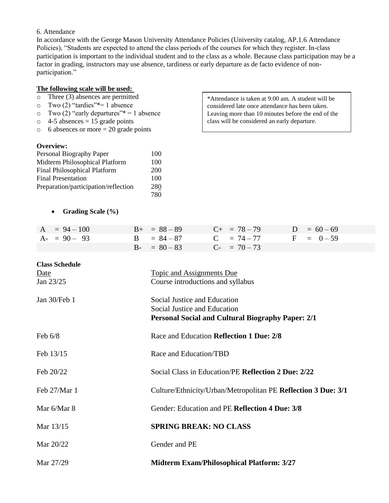#### 6. Attendance

In accordance with the George Mason University Attendance Policies (University catalog, AP.1.6 Attendance Policies), "Students are expected to attend the class periods of the courses for which they register. In-class participation is important to the individual student and to the class as a whole. Because class participation may be a factor in grading, instructors may use absence, tardiness or early departure as de facto evidence of nonparticipation."

#### **The following scale will be used:**

- o Three (3) absences are permitted
- o Two (2) "tardies"\*= 1 absence
- $\circ$  Two (2) "early departures"\* = 1 absence
- $\circ$  4-5 absences = 15 grade points
- $\circ$  6 absences or more = 20 grade points

#### **Overview:**

| Personal Biography Paper             | 100 |
|--------------------------------------|-----|
| Midterm Philosophical Platform       | 100 |
| <b>Final Philosophical Platform</b>  | 200 |
| <b>Final Presentation</b>            | 100 |
| Preparation/participation/reflection | 280 |
|                                      | 780 |

\*Attendance is taken at 9:00 am. A student will be considered late once attendance has been taken. Leaving more than 10 minutes before the end of the class will be considered an early departure.

|  | <b>Grading Scale (%)</b> |  |
|--|--------------------------|--|
|--|--------------------------|--|

| $A = 94 - 100$ | $B_{+} = 88 - 89$ | $C_{+}$ = 78 - 79 | $D = 60 - 69$ |
|----------------|-------------------|-------------------|---------------|
| $A - 90 - 93$  | $B = 84 - 87$     | $C = 74 - 77$     | $F = 0-59$    |
|                | $B - = 80 - 83$   | $C_{-}$ = 70 – 73 |               |

| <b>Class Schedule</b> |                                                               |
|-----------------------|---------------------------------------------------------------|
| Date                  | <b>Topic and Assignments Due</b>                              |
| Jan 23/25             | Course introductions and syllabus                             |
| Jan 30/Feb 1          | Social Justice and Education                                  |
|                       | Social Justice and Education                                  |
|                       | <b>Personal Social and Cultural Biography Paper: 2/1</b>      |
| Feb $6/8$             | Race and Education Reflection 1 Due: 2/8                      |
| Feb 13/15             | Race and Education/TBD                                        |
| Feb 20/22             | Social Class in Education/PE Reflection 2 Due: 2/22           |
| Feb 27/Mar 1          | Culture/Ethnicity/Urban/Metropolitan PE Reflection 3 Due: 3/1 |
| Mar 6/Mar 8           | Gender: Education and PE Reflection 4 Due: 3/8                |
| Mar 13/15             | <b>SPRING BREAK: NO CLASS</b>                                 |
| Mar 20/22             | Gender and PE                                                 |
| Mar 27/29             | <b>Midterm Exam/Philosophical Platform: 3/27</b>              |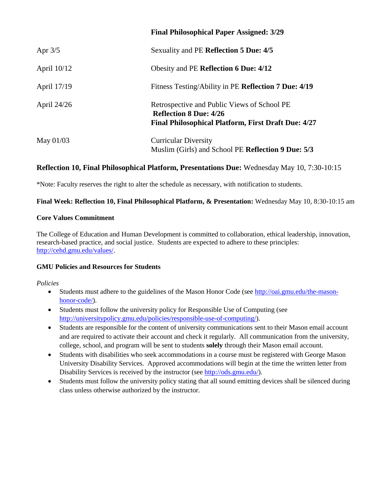|             | <b>Final Philosophical Paper Assigned: 3/29</b>                                                                                     |
|-------------|-------------------------------------------------------------------------------------------------------------------------------------|
| Apr $3/5$   | Sexuality and PE Reflection 5 Due: 4/5                                                                                              |
| April 10/12 | Obesity and PE Reflection 6 Due: 4/12                                                                                               |
| April 17/19 | Fitness Testing/Ability in PE Reflection 7 Due: 4/19                                                                                |
| April 24/26 | Retrospective and Public Views of School PE<br><b>Reflection 8 Due: 4/26</b><br>Final Philosophical Platform, First Draft Due: 4/27 |
| May 01/03   | <b>Curricular Diversity</b><br>Muslim (Girls) and School PE Reflection 9 Due: 5/3                                                   |

# **Reflection 10, Final Philosophical Platform, Presentations Due:** Wednesday May 10, 7:30-10:15

\*Note: Faculty reserves the right to alter the schedule as necessary, with notification to students.

### **Final Week: Reflection 10, Final Philosophical Platform, & Presentation:** Wednesday May 10, 8:30-10:15 am

#### **Core Values Commitment**

The College of Education and Human Development is committed to collaboration, ethical leadership, innovation, research-based practice, and social justice. Students are expected to adhere to these principles: [http://cehd.gmu.edu/values/.](http://cehd.gmu.edu/values/)

## **GMU Policies and Resources for Students**

*Policies*

- Students must adhere to the guidelines of the Mason Honor Code (see [http://oai.gmu.edu/the-mason](http://oai.gmu.edu/the-mason-honor-code/)[honor-code/\)](http://oai.gmu.edu/the-mason-honor-code/).
- Students must follow the university policy for Responsible Use of Computing (see [http://universitypolicy.gmu.edu/policies/responsible-use-of-computing/\)](http://universitypolicy.gmu.edu/policies/responsible-use-of-computing/).
- Students are responsible for the content of university communications sent to their Mason email account and are required to activate their account and check it regularly. All communication from the university, college, school, and program will be sent to students **solely** through their Mason email account.
- Students with disabilities who seek accommodations in a course must be registered with George Mason University Disability Services. Approved accommodations will begin at the time the written letter from Disability Services is received by the instructor (see [http://ods.gmu.edu/\)](http://ods.gmu.edu/).
- Students must follow the university policy stating that all sound emitting devices shall be silenced during class unless otherwise authorized by the instructor.